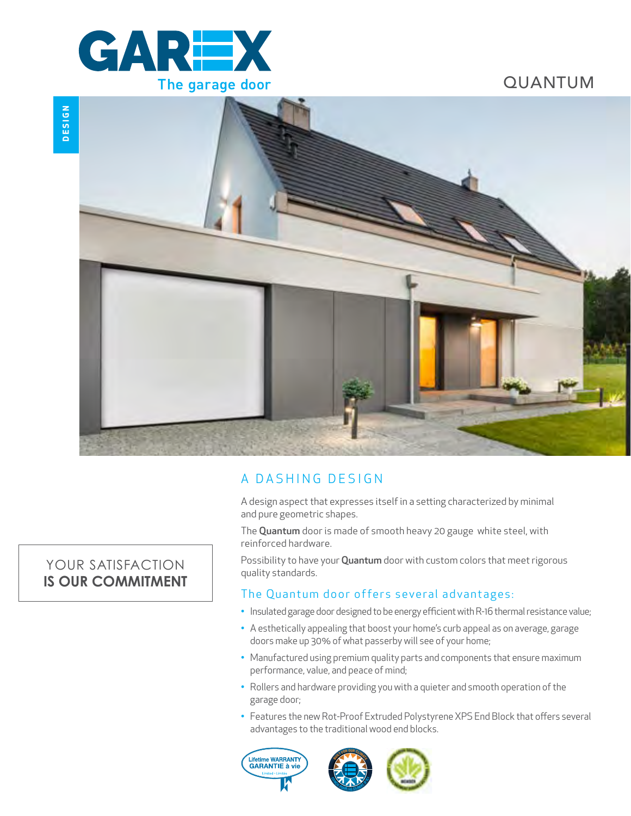

QUANTUM



## A DASHING DESIGN

A design aspect that expresses itself in a setting characterized by minimal and pure geometric shapes.

The Quantum door is made of smooth heavy 20 gauge white steel, with reinforced hardware.

Possibility to have your Quantum door with custom colors that meet rigorous quality standards.

## The Quantum door offers several advantages:

- Insulated garage door designed to be energy efficient with R-16 thermal resistance value;
- A esthetically appealing that boost your home's curb appeal as on average, garage doors make up 30% of what passerby will see of your home;
- Manufactured using premium quality parts and components that ensure maximum performance, value, and peace of mind;
- Rollers and hardware providing you with a quieter and smooth operation of the garage door;
- Features the new Rot-Proof Extruded Polystyrene XPS End Block that offers several advantages to the traditional wood end blocks.





# YOUR SATISFACTION **IS OUR COMMITMENT**